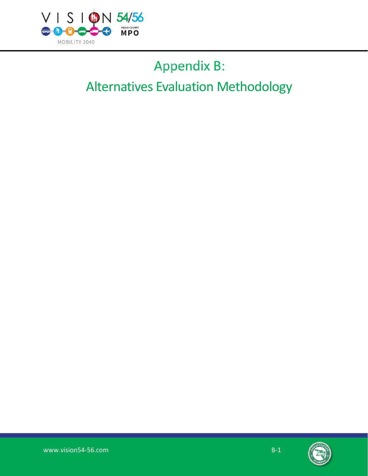

# **Appendix B:**

# Alternatives Evaluation Methodology

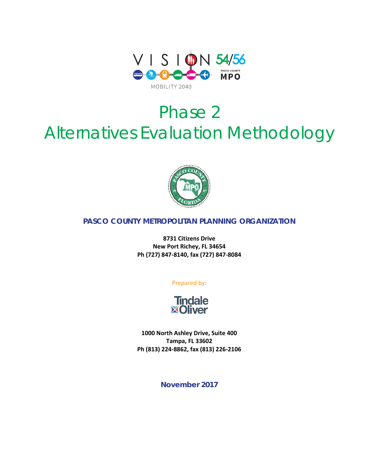

# Phase 2 Alternatives Evaluation Methodology



#### *PASCO COUNTY METROPOLITAN PLANNING ORGANIZATION*

**8731 Citizens Drive New Port Richey, FL 34654 Ph (727) 847-8140, fax (727) 847-8084**

Prepared by:



**1000 North Ashley Drive, Suite 400 Tampa, FL 33602 Ph (813) 224-8862, fax (813) 226-2106**

*November 2017*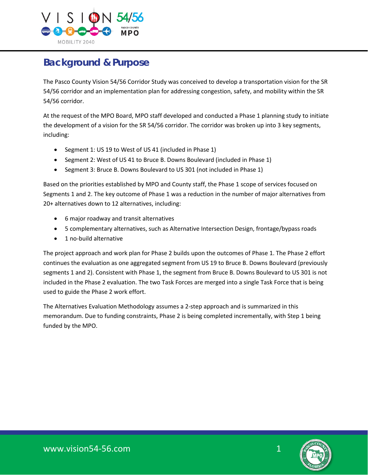

# **Background & Purpose**

The Pasco County Vision 54/56 Corridor Study was conceived to develop a transportation vision for the SR 54/56 corridor and an implementation plan for addressing congestion, safety, and mobility within the SR 54/56 corridor.

At the request of the MPO Board, MPO staff developed and conducted a Phase 1 planning study to initiate the development of a vision for the SR 54/56 corridor. The corridor was broken up into 3 key segments, including:

- Segment 1: US 19 to West of US 41 (included in Phase 1)
- Segment 2: West of US 41 to Bruce B. Downs Boulevard (included in Phase 1)
- Segment 3: Bruce B. Downs Boulevard to US 301 (not included in Phase 1)

Based on the priorities established by MPO and County staff, the Phase 1 scope of services focused on Segments 1 and 2. The key outcome of Phase 1 was a reduction in the number of major alternatives from 20+ alternatives down to 12 alternatives, including:

- 6 major roadway and transit alternatives
- 5 complementary alternatives, such as Alternative Intersection Design, frontage/bypass roads
- 1 no-build alternative

The project approach and work plan for Phase 2 builds upon the outcomes of Phase 1. The Phase 2 effort continues the evaluation as one aggregated segment from US 19 to Bruce B. Downs Boulevard (previously segments 1 and 2). Consistent with Phase 1, the segment from Bruce B. Downs Boulevard to US 301 is not included in the Phase 2 evaluation. The two Task Forces are merged into a single Task Force that is being used to guide the Phase 2 work effort.

The Alternatives Evaluation Methodology assumes a 2-step approach and is summarized in this memorandum. Due to funding constraints, Phase 2 is being completed incrementally, with Step 1 being funded by the MPO.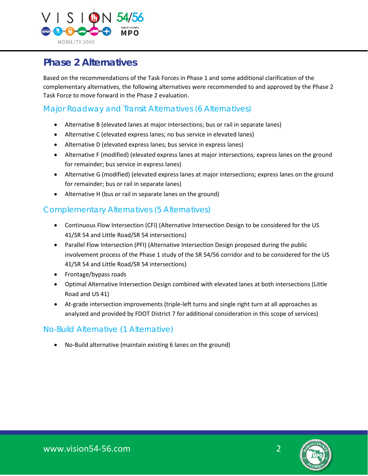

## **Phase 2 Alternatives**

Based on the recommendations of the Task Forces in Phase 1 and some additional clarification of the complementary alternatives, the following alternatives were recommended to and approved by the Phase 2 Task Force to move forward in the Phase 2 evaluation.

#### Major Roadway and Transit Alternatives (6 Alternatives)

- Alternative B (elevated lanes at major intersections; bus or rail in separate lanes)
- Alternative C (elevated express lanes; no bus service in elevated lanes)
- Alternative D (elevated express lanes; bus service in express lanes)
- Alternative F (modified) (elevated express lanes at major intersections; express lanes on the ground for remainder; bus service in express lanes)
- Alternative G (modified) (elevated express lanes at major intersections; express lanes on the ground for remainder; bus or rail in separate lanes)
- Alternative H (bus or rail in separate lanes on the ground)

#### Complementary Alternatives (5 Alternatives)

- Continuous Flow Intersection (CFI) (Alternative Intersection Design to be considered for the US 41/SR 54 and Little Road/SR 54 intersections)
- Parallel Flow Intersection (PFI) (Alternative Intersection Design proposed during the public involvement process of the Phase 1 study of the SR 54/56 corridor and to be considered for the US 41/SR 54 and Little Road/SR 54 intersections)
- Frontage/bypass roads
- Optimal Alternative Intersection Design combined with elevated lanes at both intersections (Little Road and US 41)
- At-grade intersection improvements (triple-left turns and single right turn at all approaches as analyzed and provided by FDOT District 7 for additional consideration in this scope of services)

#### No-Build Alternative (1 Alternative)

• No-Build alternative (maintain existing 6 lanes on the ground)

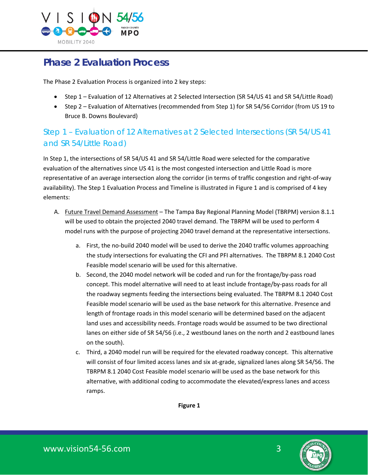

## **Phase 2 Evaluation Process**

The Phase 2 Evaluation Process is organized into 2 key steps:

- Step 1 Evaluation of 12 Alternatives at 2 Selected Intersection (SR 54/US 41 and SR 54/Little Road)
- Step 2 Evaluation of Alternatives (recommended from Step 1) for SR 54/56 Corridor (from US 19 to Bruce B. Downs Boulevard)

### Step 1 – Evaluation of 12 Alternatives at 2 Selected Intersections (SR 54/US 41 and SR 54/Little Road)

In Step 1, the intersections of SR 54/US 41 and SR 54/Little Road were selected for the comparative evaluation of the alternatives since US 41 is the most congested intersection and Little Road is more representative of an average intersection along the corridor (in terms of traffic congestion and right-of-way availability). The Step 1 Evaluation Process and Timeline is illustrated in Figure 1 and is comprised of 4 key elements:

- A. Future Travel Demand Assessment The Tampa Bay Regional Planning Model (TBRPM) version 8.1.1 will be used to obtain the projected 2040 travel demand. The TBRPM will be used to perform 4 model runs with the purpose of projecting 2040 travel demand at the representative intersections.
	- a. First, the no-build 2040 model will be used to derive the 2040 traffic volumes approaching the study intersections for evaluating the CFI and PFI alternatives. The TBRPM 8.1 2040 Cost Feasible model scenario will be used for this alternative.
	- b. Second, the 2040 model network will be coded and run for the frontage/by-pass road concept. This model alternative will need to at least include frontage/by-pass roads for all the roadway segments feeding the intersections being evaluated. The TBRPM 8.1 2040 Cost Feasible model scenario will be used as the base network for this alternative. Presence and length of frontage roads in this model scenario will be determined based on the adjacent land uses and accessibility needs. Frontage roads would be assumed to be two directional lanes on either side of SR 54/56 (i.e., 2 westbound lanes on the north and 2 eastbound lanes on the south).
	- c. Third, a 2040 model run will be required for the elevated roadway concept. This alternative will consist of four limited access lanes and six at-grade, signalized lanes along SR 54/56. The TBRPM 8.1 2040 Cost Feasible model scenario will be used as the base network for this alternative, with additional coding to accommodate the elevated/express lanes and access ramps.

**Figure 1**



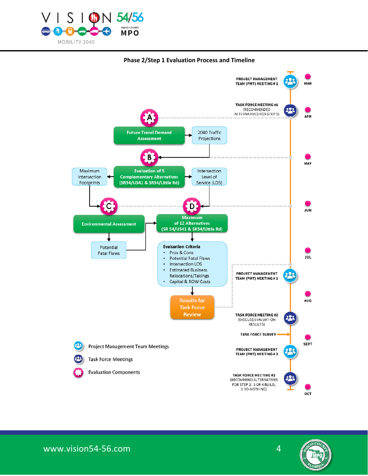



**Phase 2/Step 1 Evaluation Process and Timeline**

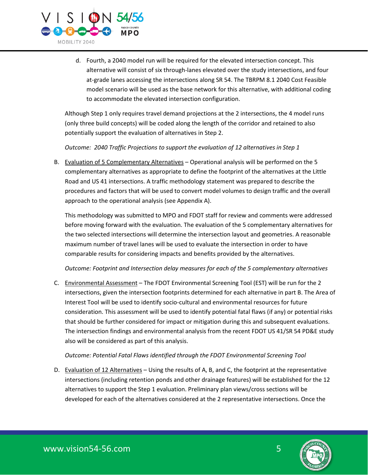

d. Fourth, a 2040 model run will be required for the elevated intersection concept. This alternative will consist of six through-lanes elevated over the study intersections, and four at-grade lanes accessing the intersections along SR 54. The TBRPM 8.1 2040 Cost Feasible model scenario will be used as the base network for this alternative, with additional coding to accommodate the elevated intersection configuration.

Although Step 1 only requires travel demand projections at the 2 intersections, the 4 model runs (only three build concepts) will be coded along the length of the corridor and retained to also potentially support the evaluation of alternatives in Step 2.

*Outcome: 2040 Traffic Projections to support the evaluation of 12 alternatives in Step 1*

B. Evaluation of 5 Complementary Alternatives - Operational analysis will be performed on the 5 complementary alternatives as appropriate to define the footprint of the alternatives at the Little Road and US 41 intersections. A traffic methodology statement was prepared to describe the procedures and factors that will be used to convert model volumes to design traffic and the overall approach to the operational analysis (see Appendix A).

This methodology was submitted to MPO and FDOT staff for review and comments were addressed before moving forward with the evaluation. The evaluation of the 5 complementary alternatives for the two selected intersections will determine the intersection layout and geometries. A reasonable maximum number of travel lanes will be used to evaluate the intersection in order to have comparable results for considering impacts and benefits provided by the alternatives.

*Outcome: Footprint and Intersection delay measures for each of the 5 complementary alternatives*

C. Environmental Assessment – The FDOT Environmental Screening Tool (EST) will be run for the 2 intersections, given the intersection footprints determined for each alternative in part B. The Area of Interest Tool will be used to identify socio-cultural and environmental resources for future consideration. This assessment will be used to identify potential fatal flaws (if any) or potential risks that should be further considered for impact or mitigation during this and subsequent evaluations. The intersection findings and environmental analysis from the recent FDOT US 41/SR 54 PD&E study also will be considered as part of this analysis.

#### *Outcome: Potential Fatal Flaws identified through the FDOT Environmental Screening Tool*

D. Evaluation of 12 Alternatives - Using the results of A, B, and C, the footprint at the representative intersections (including retention ponds and other drainage features) will be established for the 12 alternatives to support the Step 1 evaluation. Preliminary plan views/cross sections will be developed for each of the alternatives considered at the 2 representative intersections. Once the

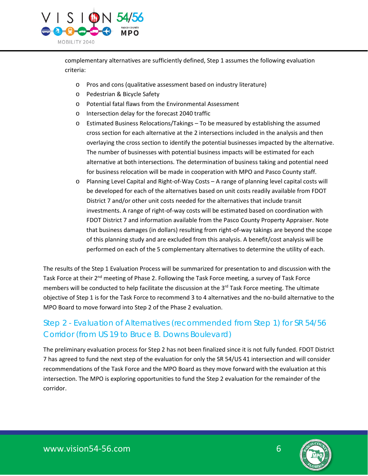

complementary alternatives are sufficiently defined, Step 1 assumes the following evaluation criteria:

- o Pros and cons (qualitative assessment based on industry literature)
- o Pedestrian & Bicycle Safety
- o Potential fatal flaws from the Environmental Assessment
- o Intersection delay for the forecast 2040 traffic
- o Estimated Business Relocations/Takings To be measured by establishing the assumed cross section for each alternative at the 2 intersections included in the analysis and then overlaying the cross section to identify the potential businesses impacted by the alternative. The number of businesses with potential business impacts will be estimated for each alternative at both intersections. The determination of business taking and potential need for business relocation will be made in cooperation with MPO and Pasco County staff.
- o Planning Level Capital and Right-of-Way Costs A range of planning level capital costs will be developed for each of the alternatives based on unit costs readily available from FDOT District 7 and/or other unit costs needed for the alternatives that include transit investments. A range of right-of-way costs will be estimated based on coordination with FDOT District 7 and information available from the Pasco County Property Appraiser. Note that business damages (in dollars) resulting from right-of-way takings are beyond the scope of this planning study and are excluded from this analysis. A benefit/cost analysis will be performed on each of the 5 complementary alternatives to determine the utility of each.

The results of the Step 1 Evaluation Process will be summarized for presentation to and discussion with the Task Force at their 2<sup>nd</sup> meeting of Phase 2. Following the Task Force meeting, a survey of Task Force members will be conducted to help facilitate the discussion at the 3<sup>rd</sup> Task Force meeting. The ultimate objective of Step 1 is for the Task Force to recommend 3 to 4 alternatives and the no-build alternative to the MPO Board to move forward into Step 2 of the Phase 2 evaluation.

### Step 2 - Evaluation of Alternatives (recommended from Step 1) for SR 54/56 Corridor (from US 19 to Bruce B. Downs Boulevard)

The preliminary evaluation process for Step 2 has not been finalized since it is not fully funded. FDOT District 7 has agreed to fund the next step of the evaluation for only the SR 54/US 41 intersection and will consider recommendations of the Task Force and the MPO Board as they move forward with the evaluation at this intersection. The MPO is exploring opportunities to fund the Step 2 evaluation for the remainder of the corridor.



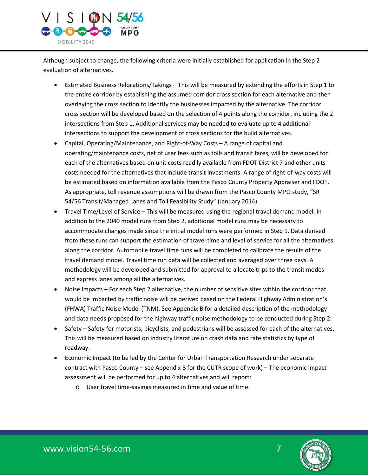

Although subject to change, the following criteria were initially established for application in the Step 2 evaluation of alternatives.

- Estimated Business Relocations/Takings This will be measured by extending the efforts in Step 1 to the entire corridor by establishing the assumed corridor cross section for each alternative and then overlaying the cross section to identify the businesses impacted by the alternative. The corridor cross section will be developed based on the selection of 4 points along the corridor, including the 2 intersections from Step 1. Additional services may be needed to evaluate up to 4 additional intersections to support the development of cross sections for the build alternatives.
- Capital, Operating/Maintenance, and Right-of-Way Costs A range of capital and operating/maintenance costs, net of user fees such as tolls and transit fares, will be developed for each of the alternatives based on unit costs readily available from FDOT District 7 and other units costs needed for the alternatives that include transit investments. A range of right-of-way costs will be estimated based on information available from the Pasco County Property Appraiser and FDOT. As appropriate, toll revenue assumptions will be drawn from the Pasco County MPO study, "SR 54/56 Transit/Managed Lanes and Toll Feasibility Study" (January 2014).
- Travel Time/Level of Service This will be measured using the regional travel demand model. In addition to the 2040 model runs from Step 2, additional model runs may be necessary to accommodate changes made since the initial model runs were performed in Step 1. Data derived from these runs can support the estimation of travel time and level of service for all the alternatives along the corridor. Automobile travel time runs will be completed to calibrate the results of the travel demand model. Travel time run data will be collected and averaged over three days. A methodology will be developed and submitted for approval to allocate trips to the transit modes and express lanes among all the alternatives.
- Noise Impacts For each Step 2 alternative, the number of sensitive sites within the corridor that would be impacted by traffic noise will be derived based on the Federal Highway Administration's (FHWA) Traffic Noise Model (TNM). See Appendix B for a detailed description of the methodology and data needs proposed for the highway traffic noise methodology to be conducted during Step 2.
- Safety Safety for motorists, bicyclists, and pedestrians will be assessed for each of the alternatives. This will be measured based on industry literature on crash data and rate statistics by type of roadway.
- Economic Impact (to be led by the Center for Urban Transportation Research under separate contract with Pasco County – see Appendix B for the CUTR scope of work) – The economic impact assessment will be performed for up to 4 alternatives and will report:
	- o User travel time-savings measured in time and value of time.

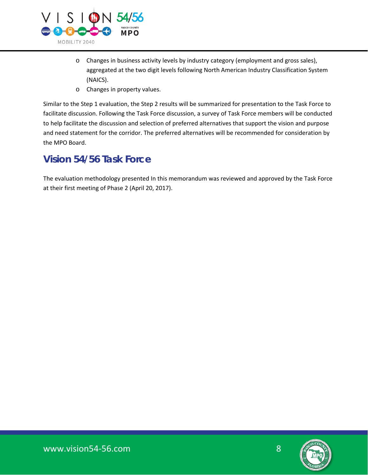

- o Changes in business activity levels by industry category (employment and gross sales), aggregated at the two digit levels following North American Industry Classification System (NAICS).
- o Changes in property values.

Similar to the Step 1 evaluation, the Step 2 results will be summarized for presentation to the Task Force to facilitate discussion. Following the Task Force discussion, a survey of Task Force members will be conducted to help facilitate the discussion and selection of preferred alternatives that support the vision and purpose and need statement for the corridor. The preferred alternatives will be recommended for consideration by the MPO Board.

### **Vision 54/56 Task Force**

The evaluation methodology presented In this memorandum was reviewed and approved by the Task Force at their first meeting of Phase 2 (April 20, 2017).

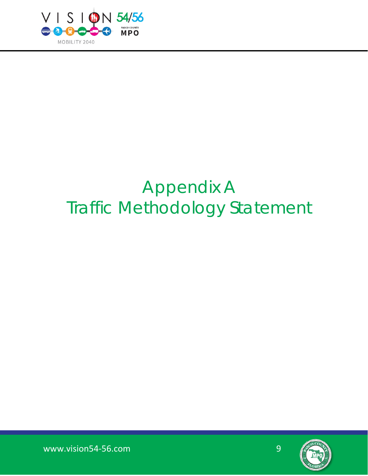

# Appendix A Traffic Methodology Statement

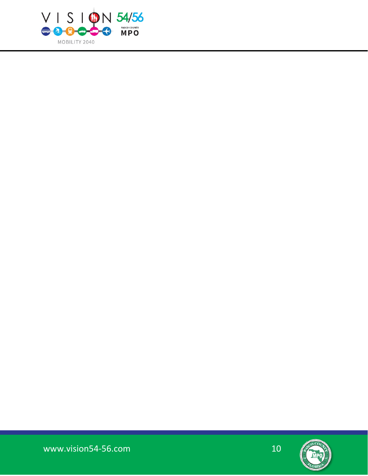



www.vision54-56.com 10 and 10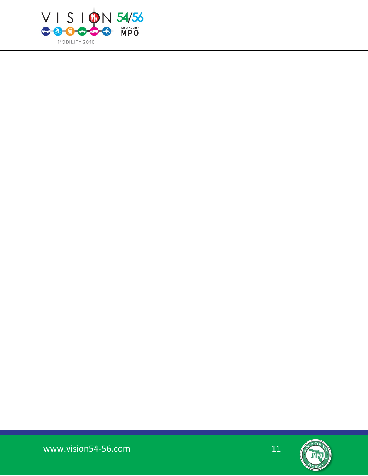



www.vision54-56.com 11 and 11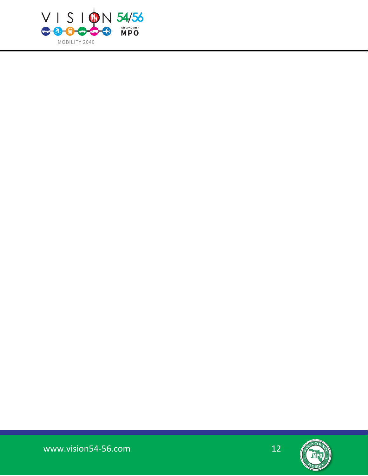

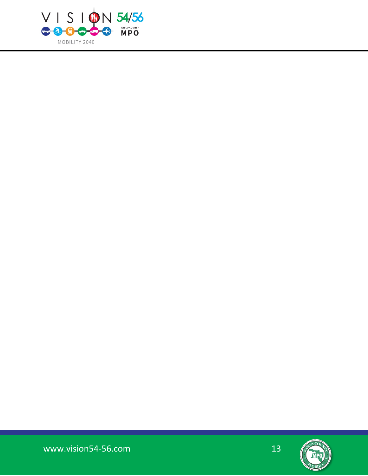

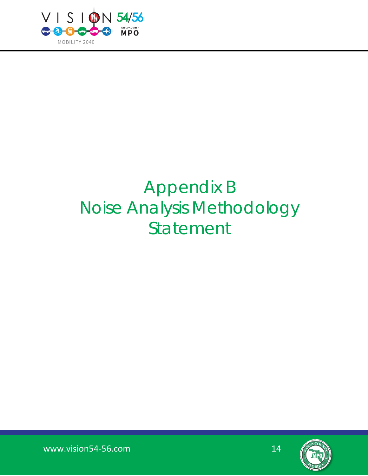

# Appendix B Noise Analysis Methodology Statement